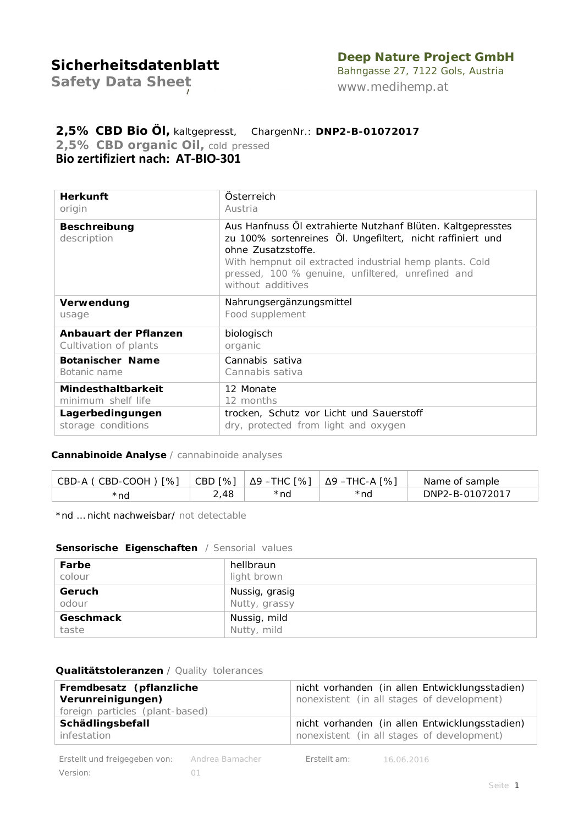## **Deep Nature Project GmbH**

*Safety Data Sheet*

Bahngasse 27, 7122 Gols, Austria *[www.medihemp.at](http://www.medihemp.at/)*

## **2,5% CBD Bio Öl,** kaltgepresst, ChargenNr.: **DNP2-B-01072017**

*2,5% CBD organic Oil, cold pressed* **Bio zertifiziert nach: AT-BIO-301**

| Österreich<br>Austria                                                                                                                                                                                                                                                                |
|--------------------------------------------------------------------------------------------------------------------------------------------------------------------------------------------------------------------------------------------------------------------------------------|
| Aus Hanfnuss OI extrahierte Nutzhanf Blüten. Kaltgepresstes<br>zu 100% sortenreines Öl. Ungefiltert, nicht raffiniert und<br>ohne Zusatzstoffe.<br>With hempnut oil extracted industrial hemp plants. Cold<br>pressed, 100 % genuine, unfiltered, unrefined and<br>without additives |
| Nahrungsergänzungsmittel<br>Food supplement                                                                                                                                                                                                                                          |
| biologisch<br>organic                                                                                                                                                                                                                                                                |
| Cannabis sativa<br>Cannabis sativa                                                                                                                                                                                                                                                   |
| 12 Monate<br>12 months<br>trocken, Schutz vor Licht und Sauerstoff<br>dry, protected from light and oxygen                                                                                                                                                                           |
|                                                                                                                                                                                                                                                                                      |

### **Cannabinoide Analyse** / *cannabinoide analyses*

| CBD-A (CBD-COOH) [%] |      | $ $ CBD [%] $ $ $\Delta$ 9 –THC [%] | Δ9 –THC-A [%] | Name of sample  |
|----------------------|------|-------------------------------------|---------------|-----------------|
| *nd                  | 2.48 | *nd                                 | *nd           | DNP2-B-01072017 |

\*nd … nicht nachweisbar/ *not detectable*

### **Sensorische Eigenschaften** */ Sensorial values*

| Farbe            | hellbraun      |
|------------------|----------------|
| colour           | light brown    |
| Geruch           | Nussig, grasig |
| odour            | Nutty, grassy  |
| <b>Geschmack</b> | Nussig, mild   |
| taste            | Nutty, mild    |

### **Qualitätstoleranzen** */ Quality tolerances*

| Fremdbesatz (pflanzliche        | nicht vorhanden (in allen Entwicklungsstadien) |
|---------------------------------|------------------------------------------------|
| Verunreinigungen)               | nonexistent (in all stages of development)     |
| foreign particles (plant-based) |                                                |
| Schädlingsbefall                | nicht vorhanden (in allen Entwicklungsstadien) |
| infestation                     | nonexistent (in all stages of development)     |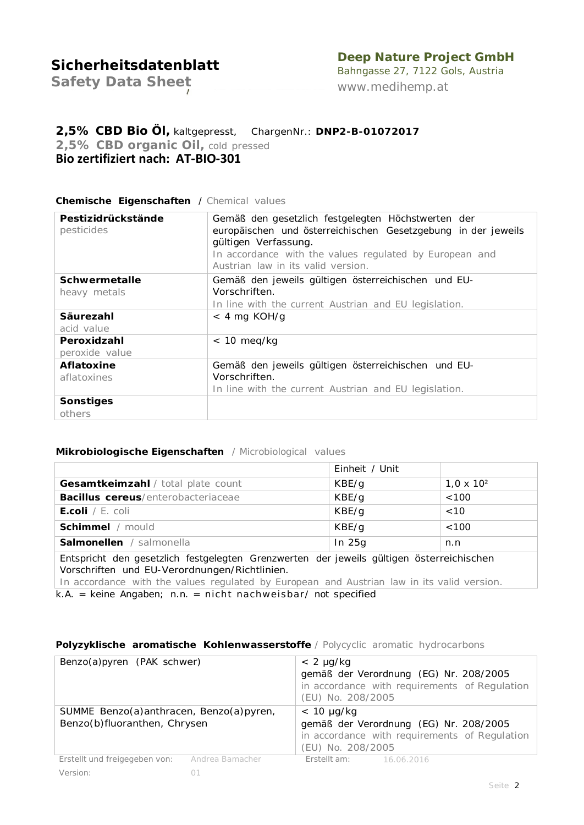## **Deep Nature Project GmbH**

*Safety Data Sheet*

Bahngasse 27, 7122 Gols, Austria *[www.medihemp.at](http://www.medihemp.at/)*

## **2,5% CBD Bio Öl,** kaltgepresst, ChargenNr.: **DNP2-B-01072017** *2,5% CBD organic Oil, cold pressed*

**Bio zertifiziert nach: AT-BIO-301**

### **Chemische Eigenschaften** / *Chemical values*

| Pestizidrückstände<br>pesticides | Gemäß den gesetzlich festgelegten Höchstwerten der<br>europäischen und österreichischen Gesetzgebung in der jeweils<br>gültigen Verfassung.<br>In accordance with the values regulated by European and<br>Austrian law in its valid version. |
|----------------------------------|----------------------------------------------------------------------------------------------------------------------------------------------------------------------------------------------------------------------------------------------|
| Schwermetalle                    | Gemäß den jeweils gültigen österreichischen und EU-                                                                                                                                                                                          |
| heavy metals                     | Vorschriften.                                                                                                                                                                                                                                |
|                                  | In line with the current Austrian and EU legislation.                                                                                                                                                                                        |
| Säurezahl                        | $<$ 4 mg KOH/g                                                                                                                                                                                                                               |
| acid value                       |                                                                                                                                                                                                                                              |
| Peroxidzahl                      | $< 10$ meg/kg                                                                                                                                                                                                                                |
| peroxide value                   |                                                                                                                                                                                                                                              |
| <b>Aflatoxine</b>                | Gemäß den jeweils gültigen österreichischen und EU-                                                                                                                                                                                          |
| aflatoxines                      | Vorschriften.                                                                                                                                                                                                                                |
|                                  | In line with the current Austrian and EU legislation.                                                                                                                                                                                        |
| Sonstiges                        |                                                                                                                                                                                                                                              |
| others                           |                                                                                                                                                                                                                                              |

### **Mikrobiologische Eigenschaften** */ Microbiological values*

|                                                                                                                                                                                                                                         | Einheit / Unit |                   |  |  |
|-----------------------------------------------------------------------------------------------------------------------------------------------------------------------------------------------------------------------------------------|----------------|-------------------|--|--|
| Gesamtkeimzahl / total plate count                                                                                                                                                                                                      | KBE/g          | $1,0 \times 10^2$ |  |  |
| <b>Bacillus cereus</b> /enterobacteriaceae                                                                                                                                                                                              | KBE/g          | < 100             |  |  |
| <b>E.coli</b> / <i>E. coli</i>                                                                                                                                                                                                          | KBE/g          | $~<$ 10           |  |  |
| Schimmel / mould                                                                                                                                                                                                                        | KBE/g          | <100              |  |  |
| <b>Salmonellen</b> / salmonella                                                                                                                                                                                                         | In $25g$       | n.n               |  |  |
| Entspricht den gesetzlich festgelegten Grenzwerten der jeweils gültigen österreichischen<br>Vorschriften und EU-Verordnungen/Richtlinien.<br>In accordance with the values regulated by European and Austrian law in its valid version. |                |                   |  |  |

k.A. = keine Angaben; n.n. = nicht nachweisbar/ not specified

#### **Polyzyklische aromatische Kohlenwasserstoffe** */ Polycyclic aromatic hydrocarbons*

| Benzo(a)pyren (PAK schwer)                                              |                 | $< 2 \mu g/kg$<br>(EU) No. 208/2005  | gemäß der Verordnung (EG) Nr. 208/2005<br>in accordance with requirements of Regulation |
|-------------------------------------------------------------------------|-----------------|--------------------------------------|-----------------------------------------------------------------------------------------|
| SUMME Benzo(a)anthracen, Benzo(a)pyren,<br>Benzo(b)fluoranthen, Chrysen |                 | $< 10 \mu g/kg$<br>(EU) No. 208/2005 | gemäß der Verordnung (EG) Nr. 208/2005<br>in accordance with requirements of Regulation |
| Erstellt und freigegeben von:                                           | Andrea Bamacher | <b>Erstellt am:</b> 16.06.2016       |                                                                                         |
| <i>Version:</i>                                                         |                 |                                      |                                                                                         |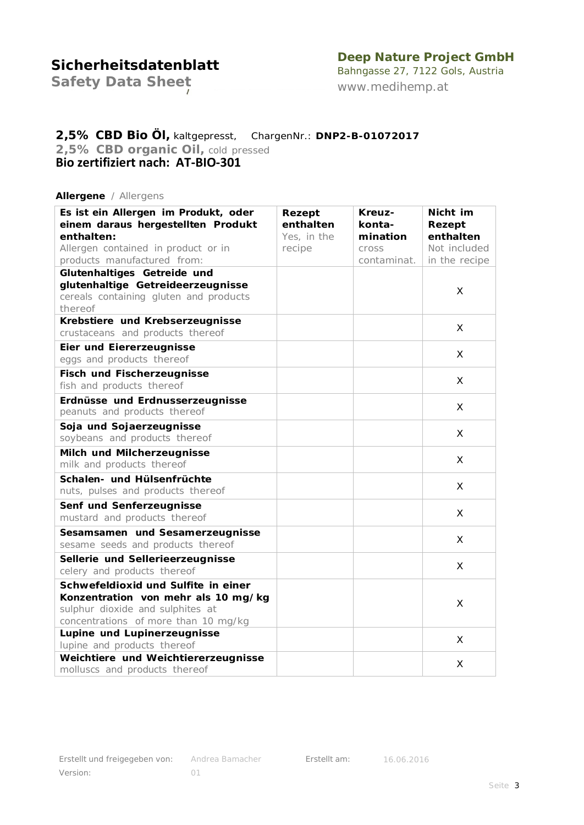## **Deep Nature Project GmbH**

*Safety Data Sheet*

Bahngasse 27, 7122 Gols, Austria *[www.medihemp.at](http://www.medihemp.at/)*

# **2,5% CBD Bio Öl,** kaltgepresst, ChargenNr.: **DNP2-B-01072017**

*2,5% CBD organic Oil, cold pressed*

**Bio zertifiziert nach: AT-BIO-301**

#### **Allergene** */ Allergens*

| Es ist ein Allergen im Produkt, oder<br>einem daraus hergestellten Produkt | Rezept<br>enthalten | Kreuz-<br>konta- | Nicht im            |
|----------------------------------------------------------------------------|---------------------|------------------|---------------------|
| enthalten:                                                                 | Yes, in the         | mination         | Rezept<br>enthalten |
| Allergen contained in product or in                                        | recipe              | cross            | Not included        |
| products manufactured from:                                                |                     | contaminat.      | in the recipe       |
| Glutenhaltiges Getreide und                                                |                     |                  |                     |
| glutenhaltige Getreideerzeugnisse                                          |                     |                  | X                   |
| cereals containing gluten and products                                     |                     |                  |                     |
| thereof                                                                    |                     |                  |                     |
| Krebstiere und Krebserzeugnisse                                            |                     |                  | X.                  |
| crustaceans and products thereof                                           |                     |                  |                     |
| Eier und Eiererzeugnisse                                                   |                     |                  | X                   |
| eggs and products thereof                                                  |                     |                  |                     |
| <b>Fisch und Fischerzeugnisse</b>                                          |                     |                  | X.                  |
| fish and products thereof                                                  |                     |                  |                     |
| Erdnüsse und Erdnusserzeugnisse                                            |                     |                  | X                   |
| peanuts and products thereof                                               |                     |                  |                     |
| Soja und Sojaerzeugnisse                                                   |                     |                  | X                   |
| soybeans and products thereof                                              |                     |                  |                     |
| Milch und Milcherzeugnisse                                                 |                     |                  | X                   |
| milk and products thereof                                                  |                     |                  |                     |
| Schalen- und Hülsenfrüchte                                                 |                     |                  | X                   |
| nuts, pulses and products thereof                                          |                     |                  |                     |
| Senf und Senferzeugnisse                                                   |                     |                  | X                   |
| mustard and products thereof                                               |                     |                  |                     |
| Sesamsamen und Sesamerzeugnisse                                            |                     |                  | X.                  |
| sesame seeds and products thereof                                          |                     |                  |                     |
| Sellerie und Sellerieerzeugnisse                                           |                     |                  | X                   |
| celery and products thereof                                                |                     |                  |                     |
| Schwefeldioxid und Sulfite in einer                                        |                     |                  |                     |
| Konzentration von mehr als 10 mg/kg                                        |                     |                  | X                   |
| sulphur dioxide and sulphites at                                           |                     |                  |                     |
| concentrations of more than 10 mg/kg                                       |                     |                  |                     |
| Lupine und Lupinerzeugnisse<br>lupine and products thereof                 |                     |                  | X                   |
| Weichtiere und Weichtiererzeugnisse                                        |                     |                  |                     |
| molluscs and products thereof                                              |                     |                  | X                   |
|                                                                            |                     |                  |                     |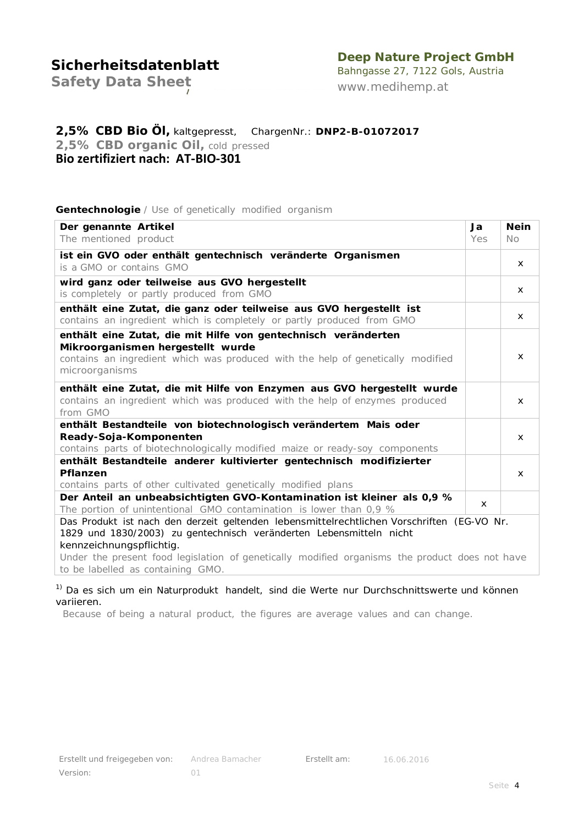### **Deep Nature Project GmbH**

*Safety Data Sheet*

Bahngasse 27, 7122 Gols, Austria *[www.medihemp.at](http://www.medihemp.at/)*

### **2,5% CBD Bio Öl,** kaltgepresst, ChargenNr.: **DNP2-B-01072017** *2,5% CBD organic Oil, cold pressed*

**Bio zertifiziert nach: AT-BIO-301**

#### **Gentechnologie** */ Use of genetically modified organism*

| Der genannte Artikel                                                                                                                | Ja           | <b>Nein</b>  |
|-------------------------------------------------------------------------------------------------------------------------------------|--------------|--------------|
| The mentioned product                                                                                                               | Yes          | No.          |
| ist ein GVO oder enthält gentechnisch veränderte Organismen                                                                         |              |              |
| is a GMO or contains GMO                                                                                                            |              | x            |
| wird ganz oder teilweise aus GVO hergestellt                                                                                        |              |              |
| is completely or partly produced from GMO                                                                                           |              | x            |
| enthält eine Zutat, die ganz oder teilweise aus GVO hergestellt ist                                                                 |              |              |
| contains an ingredient which is completely or partly produced from GMO                                                              |              | X            |
| enthält eine Zutat, die mit Hilfe von gentechnisch veränderten                                                                      |              |              |
| Mikroorganismen hergestellt wurde                                                                                                   |              |              |
| contains an ingredient which was produced with the help of genetically modified                                                     |              | $\mathsf{x}$ |
| microorganisms                                                                                                                      |              |              |
| enthält eine Zutat, die mit Hilfe von Enzymen aus GVO hergestellt wurde                                                             |              |              |
| contains an ingredient which was produced with the help of enzymes produced                                                         |              | $\mathsf{x}$ |
| from GMO                                                                                                                            |              |              |
| enthält Bestandteile von biotechnologisch verändertem Mais oder                                                                     |              |              |
| Ready-Soja-Komponenten                                                                                                              |              | $\mathsf{x}$ |
| contains parts of biotechnologically modified maize or ready-soy components                                                         |              |              |
| enthält Bestandteile anderer kultivierter gentechnisch modifizierter                                                                |              |              |
| Pflanzen                                                                                                                            |              | x            |
| contains parts of other cultivated genetically modified plans                                                                       |              |              |
| Der Anteil an unbeabsichtigten GVO-Kontamination ist kleiner als 0,9 %                                                              | $\mathsf{x}$ |              |
| The portion of unintentional GMO contamination is lower than $0.9\%$                                                                |              |              |
| Das Produkt ist nach den derzeit geltenden lebensmittelrechtlichen Vorschriften (EG-VO Nr.                                          |              |              |
| 1829 und 1830/2003) zu gentechnisch veränderten Lebensmitteln nicht                                                                 |              |              |
| kennzeichnungspflichtig.                                                                                                            |              |              |
| Under the present food legislation of genetically modified organisms the product does not have<br>to be labelled as containing GMO. |              |              |
|                                                                                                                                     |              |              |

<sup>1)</sup> Da es sich um ein Naturprodukt handelt, sind die Werte nur Durchschnittswerte und können variieren.

*Because of being a natural product, the figures are average values and can change.*